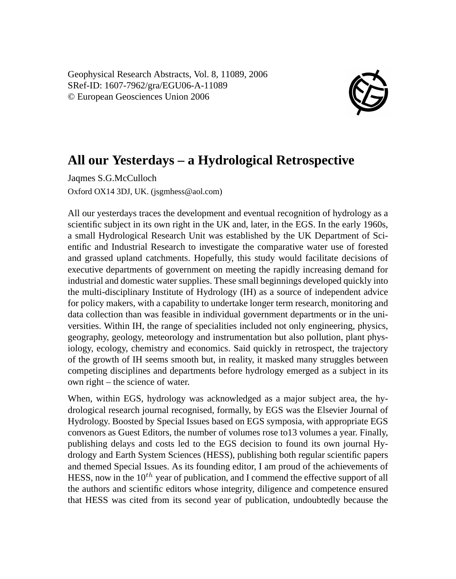Geophysical Research Abstracts, Vol. 8, 11089, 2006 SRef-ID: 1607-7962/gra/EGU06-A-11089 © European Geosciences Union 2006



## **All our Yesterdays – a Hydrological Retrospective**

Jaqmes S.G.McCulloch Oxford OX14 3DJ, UK. (jsgmhess@aol.com)

All our yesterdays traces the development and eventual recognition of hydrology as a scientific subject in its own right in the UK and, later, in the EGS. In the early 1960s, a small Hydrological Research Unit was established by the UK Department of Scientific and Industrial Research to investigate the comparative water use of forested and grassed upland catchments. Hopefully, this study would facilitate decisions of executive departments of government on meeting the rapidly increasing demand for industrial and domestic water supplies. These small beginnings developed quickly into the multi-disciplinary Institute of Hydrology (IH) as a source of independent advice for policy makers, with a capability to undertake longer term research, monitoring and data collection than was feasible in individual government departments or in the universities. Within IH, the range of specialities included not only engineering, physics, geography, geology, meteorology and instrumentation but also pollution, plant physiology, ecology, chemistry and economics. Said quickly in retrospect, the trajectory of the growth of IH seems smooth but, in reality, it masked many struggles between competing disciplines and departments before hydrology emerged as a subject in its own right – the science of water.

When, within EGS, hydrology was acknowledged as a major subject area, the hydrological research journal recognised, formally, by EGS was the Elsevier Journal of Hydrology. Boosted by Special Issues based on EGS symposia, with appropriate EGS convenors as Guest Editors, the number of volumes rose to13 volumes a year. Finally, publishing delays and costs led to the EGS decision to found its own journal Hydrology and Earth System Sciences (HESS), publishing both regular scientific papers and themed Special Issues. As its founding editor, I am proud of the achievements of HESS, now in the  $10^{th}$  year of publication, and I commend the effective support of all the authors and scientific editors whose integrity, diligence and competence ensured that HESS was cited from its second year of publication, undoubtedly because the